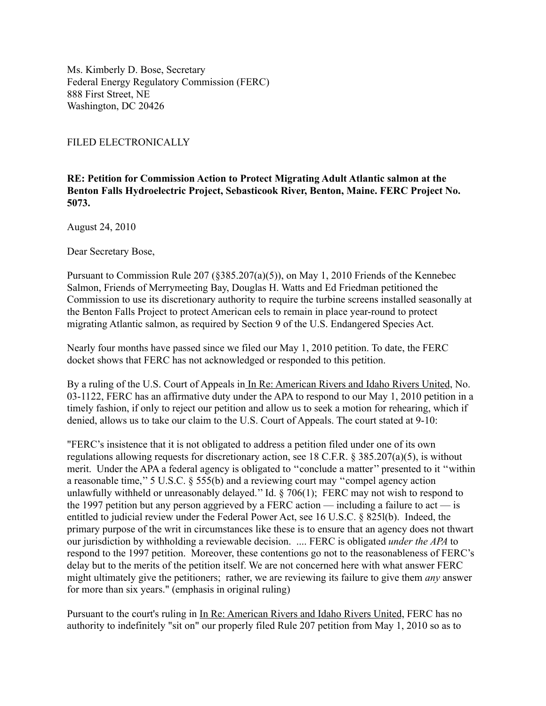Ms. Kimberly D. Bose, Secretary Federal Energy Regulatory Commission (FERC) 888 First Street, NE Washington, DC 20426

FILED ELECTRONICALLY

**RE: Petition for Commission Action to Protect Migrating Adult Atlantic salmon at the Benton Falls Hydroelectric Project, Sebasticook River, Benton, Maine. FERC Project No. 5073.**

August 24, 2010

Dear Secretary Bose,

Pursuant to Commission Rule 207 (§385.207(a)(5)), on May 1, 2010 Friends of the Kennebec Salmon, Friends of Merrymeeting Bay, Douglas H. Watts and Ed Friedman petitioned the Commission to use its discretionary authority to require the turbine screens installed seasonally at the Benton Falls Project to protect American eels to remain in place year-round to protect migrating Atlantic salmon, as required by Section 9 of the U.S. Endangered Species Act.

Nearly four months have passed since we filed our May 1, 2010 petition. To date, the FERC docket shows that FERC has not acknowledged or responded to this petition.

By a ruling of the U.S. Court of Appeals in In Re: American Rivers and Idaho Rivers United, No. 03-1122, FERC has an affirmative duty under the APA to respond to our May 1, 2010 petition in a timely fashion, if only to reject our petition and allow us to seek a motion for rehearing, which if denied, allows us to take our claim to the U.S. Court of Appeals. The court stated at 9-10:

"FERC's insistence that it is not obligated to address a petition filed under one of its own regulations allowing requests for discretionary action, see 18 C.F.R. § 385.207(a)(5), is without merit. Under the APA a federal agency is obligated to ''conclude a matter'' presented to it ''within a reasonable time,'' 5 U.S.C. § 555(b) and a reviewing court may ''compel agency action unlawfully withheld or unreasonably delayed.'' Id. § 706(1); FERC may not wish to respond to the 1997 petition but any person aggrieved by a FERC action — including a failure to act — is entitled to judicial review under the Federal Power Act, see 16 U.S.C. § 825l(b). Indeed, the primary purpose of the writ in circumstances like these is to ensure that an agency does not thwart our jurisdiction by withholding a reviewable decision. .... FERC is obligated *under the APA* to respond to the 1997 petition. Moreover, these contentions go not to the reasonableness of FERC's delay but to the merits of the petition itself. We are not concerned here with what answer FERC might ultimately give the petitioners; rather, we are reviewing its failure to give them *any* answer for more than six years." (emphasis in original ruling)

Pursuant to the court's ruling in In Re: American Rivers and Idaho Rivers United, FERC has no authority to indefinitely "sit on" our properly filed Rule 207 petition from May 1, 2010 so as to